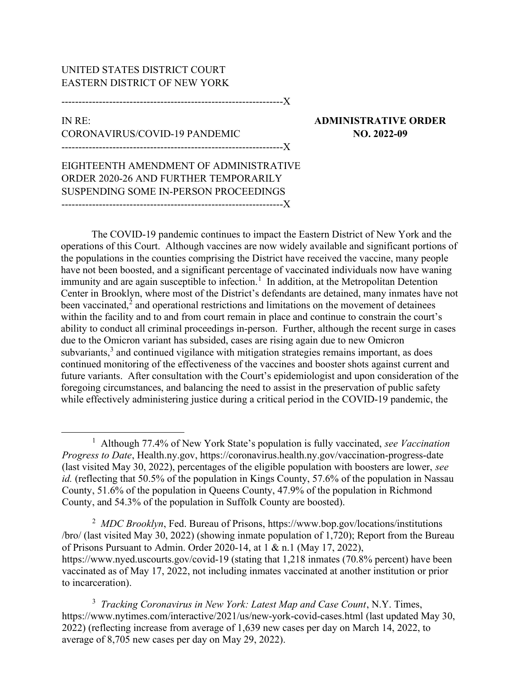## UNITED STATES DISTRICT COURT EASTERN DISTRICT OF NEW YORK

-----------------------------------------------------------------X

## IN RE: ADMINISTRATIVE ORDER CORONAVIRUS/COVID-19 PANDEMIC NO. 2022-09 -----------------------------------------------------------------X

EIGHTEENTH AMENDMENT OF ADMINISTRATIVE ORDER 2020-26 AND FURTHER TEMPORARILY SUSPENDING SOME IN-PERSON PROCEEDINGS -----------------------------------------------------------------X

The COVID-19 pandemic continues to impact the Eastern District of New York and the operations of this Court. Although vaccines are now widely available and significant portions of the populations in the counties comprising the District have received the vaccine, many people have not been boosted, and a significant percentage of vaccinated individuals now have waning immunity and are again susceptible to infection.<sup>1</sup> In addition, at the Metropolitan Detention Center in Brooklyn, where most of the District's defendants are detained, many inmates have not been vaccinated, $2$  and operational restrictions and limitations on the movement of detainees within the facility and to and from court remain in place and continue to constrain the court's ability to conduct all criminal proceedings in-person. Further, although the recent surge in cases due to the Omicron variant has subsided, cases are rising again due to new Omicron subvariants,<sup>3</sup> and continued vigilance with mitigation strategies remains important, as does continued monitoring of the effectiveness of the vaccines and booster shots against current and future variants. After consultation with the Court's epidemiologist and upon consideration of the foregoing circumstances, and balancing the need to assist in the preservation of public safety while effectively administering justice during a critical period in the COVID-19 pandemic, the

<sup>2</sup> MDC Brooklyn, Fed. Bureau of Prisons, https://www.bop.gov/locations/institutions /bro/ (last visited May 30, 2022) (showing inmate population of 1,720); Report from the Bureau of Prisons Pursuant to Admin. Order 2020-14, at 1 & n.1 (May 17, 2022), https://www.nyed.uscourts.gov/covid-19 (stating that 1,218 inmates (70.8% percent) have been vaccinated as of May 17, 2022, not including inmates vaccinated at another institution or prior to incarceration).

<sup>3</sup> Tracking Coronavirus in New York: Latest Map and Case Count, N.Y. Times, https://www.nytimes.com/interactive/2021/us/new-york-covid-cases.html (last updated May 30, 2022) (reflecting increase from average of 1,639 new cases per day on March 14, 2022, to average of 8,705 new cases per day on May 29, 2022).

<sup>&</sup>lt;sup>1</sup> Although 77.4% of New York State's population is fully vaccinated, see Vaccination Progress to Date, Health.ny.gov, https://coronavirus.health.ny.gov/vaccination-progress-date (last visited May 30, 2022), percentages of the eligible population with boosters are lower, see id. (reflecting that 50.5% of the population in Kings County, 57.6% of the population in Nassau County, 51.6% of the population in Queens County, 47.9% of the population in Richmond County, and 54.3% of the population in Suffolk County are boosted).